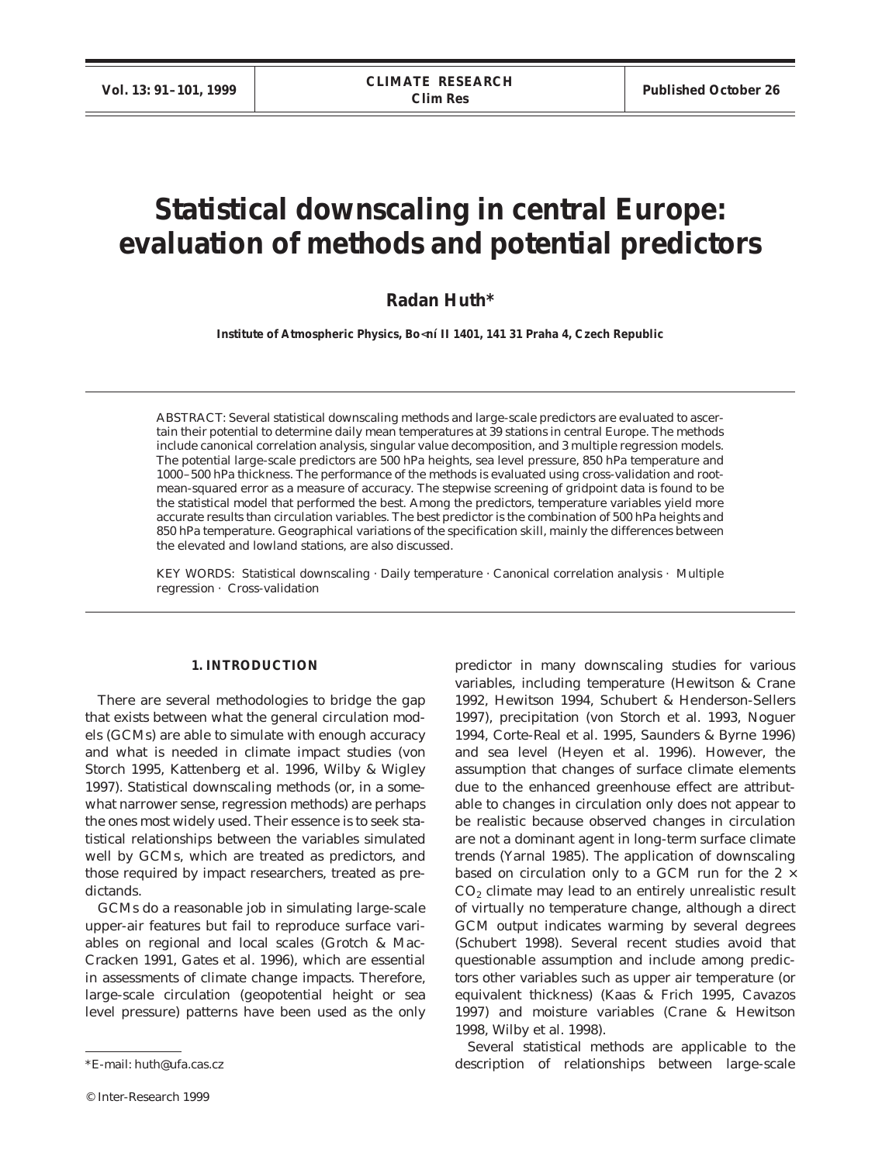# **Statistical downscaling in central Europe: evaluation of methods and potential predictors**

# **Radan Huth\***

**Institute of Atmospheric Physics, Bo<ní II 1401, 141 31 Praha 4, Czech Republic**

ABSTRACT: Several statistical downscaling methods and large-scale predictors are evaluated to ascertain their potential to determine daily mean temperatures at 39 stations in central Europe. The methods include canonical correlation analysis, singular value decomposition, and 3 multiple regression models. The potential large-scale predictors are 500 hPa heights, sea level pressure, 850 hPa temperature and 1000–500 hPa thickness. The performance of the methods is evaluated using cross-validation and rootmean-squared error as a measure of accuracy. The stepwise screening of gridpoint data is found to be the statistical model that performed the best. Among the predictors, temperature variables yield more accurate results than circulation variables. The best predictor is the combination of 500 hPa heights and 850 hPa temperature. Geographical variations of the specification skill, mainly the differences between the elevated and lowland stations, are also discussed.

KEY WORDS: Statistical downscaling · Daily temperature · Canonical correlation analysis · Multiple regression · Cross-validation

#### **1. INTRODUCTION**

There are several methodologies to bridge the gap that exists between what the general circulation models (GCMs) are able to simulate with enough accuracy and what is needed in climate impact studies (von Storch 1995, Kattenberg et al. 1996, Wilby & Wigley 1997). Statistical downscaling methods (or, in a somewhat narrower sense, regression methods) are perhaps the ones most widely used. Their essence is to seek statistical relationships between the variables simulated well by GCMs, which are treated as predictors, and those required by impact researchers, treated as predictands.

GCMs do a reasonable job in simulating large-scale upper-air features but fail to reproduce surface variables on regional and local scales (Grotch & Mac-Cracken 1991, Gates et al. 1996), which are essential in assessments of climate change impacts. Therefore, large-scale circulation (geopotential height or sea level pressure) patterns have been used as the only

© Inter-Research 1999

predictor in many downscaling studies for various variables, including temperature (Hewitson & Crane 1992, Hewitson 1994, Schubert & Henderson-Sellers 1997), precipitation (von Storch et al. 1993, Noguer 1994, Corte-Real et al. 1995, Saunders & Byrne 1996) and sea level (Heyen et al. 1996). However, the assumption that changes of surface climate elements due to the enhanced greenhouse effect are attributable to changes in circulation only does not appear to be realistic because observed changes in circulation are not a dominant agent in long-term surface climate trends (Yarnal 1985). The application of downscaling based on circulation only to a GCM run for the  $2 \times$ CO<sub>2</sub> climate may lead to an entirely unrealistic result of virtually no temperature change, although a direct GCM output indicates warming by several degrees (Schubert 1998). Several recent studies avoid that questionable assumption and include among predictors other variables such as upper air temperature (or equivalent thickness) (Kaas & Frich 1995, Cavazos 1997) and moisture variables (Crane & Hewitson 1998, Wilby et al. 1998).

Several statistical methods are applicable to the description of relationships between large-scale

<sup>\*</sup>E-mail: huth@ufa.cas.cz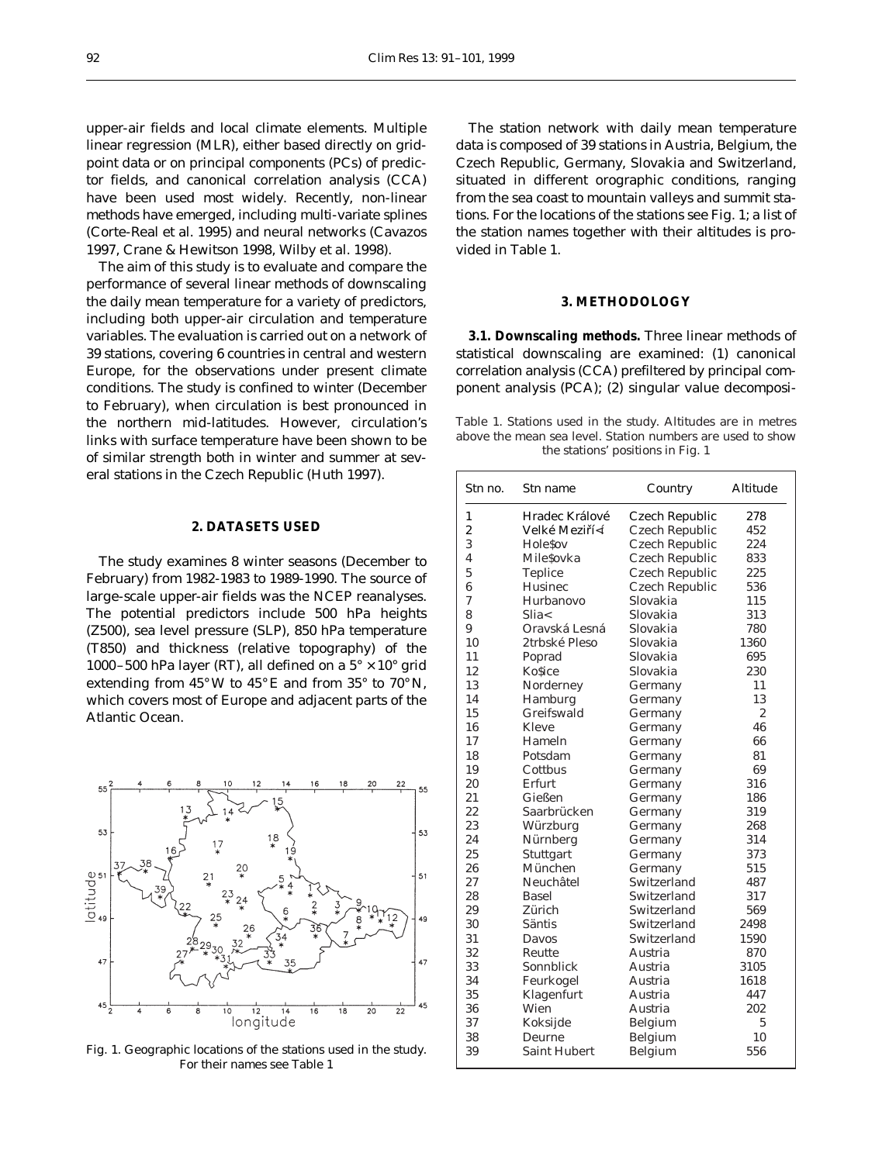upper-air fields and local climate elements. Multiple linear regression (MLR), either based directly on gridpoint data or on principal components (PCs) of predictor fields, and canonical correlation analysis (CCA) have been used most widely. Recently, non-linear methods have emerged, including multi-variate splines (Corte-Real et al. 1995) and neural networks (Cavazos 1997, Crane & Hewitson 1998, Wilby et al. 1998).

The aim of this study is to evaluate and compare the performance of several linear methods of downscaling the daily mean temperature for a variety of predictors, including both upper-air circulation and temperature variables. The evaluation is carried out on a network of 39 stations, covering 6 countries in central and western Europe, for the observations under present climate conditions. The study is confined to winter (December to February), when circulation is best pronounced in the northern mid-latitudes. However, circulation's links with surface temperature have been shown to be of similar strength both in winter and summer at several stations in the Czech Republic (Huth 1997).

#### **2. DATASETS USED**

The study examines 8 winter seasons (December to February) from 1982-1983 to 1989-1990. The source of large-scale upper-air fields was the NCEP reanalyses. The potential predictors include 500 hPa heights (Z500), sea level pressure (SLP), 850 hPa temperature (T850) and thickness (relative topography) of the 1000–500 hPa layer (RT), all defined on a  $5^{\circ} \times 10^{\circ}$  grid extending from 45° W to 45° E and from 35° to 70° N, which covers most of Europe and adjacent parts of the Atlantic Ocean.



Fig. 1. Geographic locations of the stations used in the study. For their names see Table 1

The station network with daily mean temperature data is composed of 39 stations in Austria, Belgium, the Czech Republic, Germany, Slovakia and Switzerland, situated in different orographic conditions, ranging from the sea coast to mountain valleys and summit stations. For the locations of the stations see Fig. 1; a list of the station names together with their altitudes is provided in Table 1.

## **3. METHODOLOGY**

**3.1. Downscaling methods.** Three linear methods of statistical downscaling are examined: (1) canonical correlation analysis (CCA) prefiltered by principal component analysis (PCA); (2) singular value decomposi-

Table 1. Stations used in the study. Altitudes are in metres above the mean sea level. Station numbers are used to show the stations' positions in Fig. 1

| Stn no.        | Stn name       | Country               | Altitude       |
|----------------|----------------|-----------------------|----------------|
| 1              | Hradec Králové | Czech Republic        | 278            |
| $\overline{2}$ | Velké Meziří<í | <b>Czech Republic</b> | 452            |
| 3              | HoleSov        | <b>Czech Republic</b> | 224            |
| 4              | MileSovka      | Czech Republic        | 833            |
| 5              | Teplice        | <b>Czech Republic</b> | 225            |
| 6              | Husinec        | <b>Czech Republic</b> | 536            |
| 7              | Hurbanovo      | Slovakia              | 115            |
| 8              | Sliac          | Slovakia              | 313            |
| 9              | Oravská Lesná  | Slovakia              | 780            |
| 10             | 2trbské Pleso  | Slovakia              | 1360           |
| 11             | Poprad         | Slovakia              | 695            |
| 12             | KoSice         | Slovakia              | 230            |
| 13             | Norderney      | Germany               | 11             |
| 14             | Hamburg        | Germany               | 13             |
| 15             | Greifswald     | Germany               | $\overline{2}$ |
| 16             | Kleve          | Germany               | 46             |
| 17             | Hameln         | Germany               | 66             |
| 18             | Potsdam        | Germany               | 81             |
| 19             | Cottbus        | Germany               | 69             |
| 20             | Erfurt         | Germany               | 316            |
| 21             | Gießen         | Germany               | 186            |
| 22             | Saarbrücken    | Germany               | 319            |
| 23             | Würzburg       | Germany               | 268            |
| 24             | Nürnberg       | Germany               | 314            |
| 25             | Stuttgart      | Germany               | 373            |
| 26             | München        | Germany               | 515            |
| 27             | Neuchâtel      | Switzerland           | 487            |
| 28             | Basel          | Switzerland           | 317            |
| 29             | Zürich         | Switzerland           | 569            |
| 30             | Säntis         | Switzerland           | 2498           |
| 31             | Davos          | Switzerland           | 1590           |
| 32             | Reutte         | Austria               | 870            |
| 33             | Sonnblick      | Austria               | 3105           |
| 34             | Feurkogel      | Austria               | 1618           |
| 35             | Klagenfurt     | Austria               | 447            |
| 36             | Wien           | Austria               | 202            |
| 37             | Koksijde       | Belgium               | 5              |
| 38             | Deurne         | Belgium               | 10             |
| 39             | Saint Hubert   | Belgium               | 556            |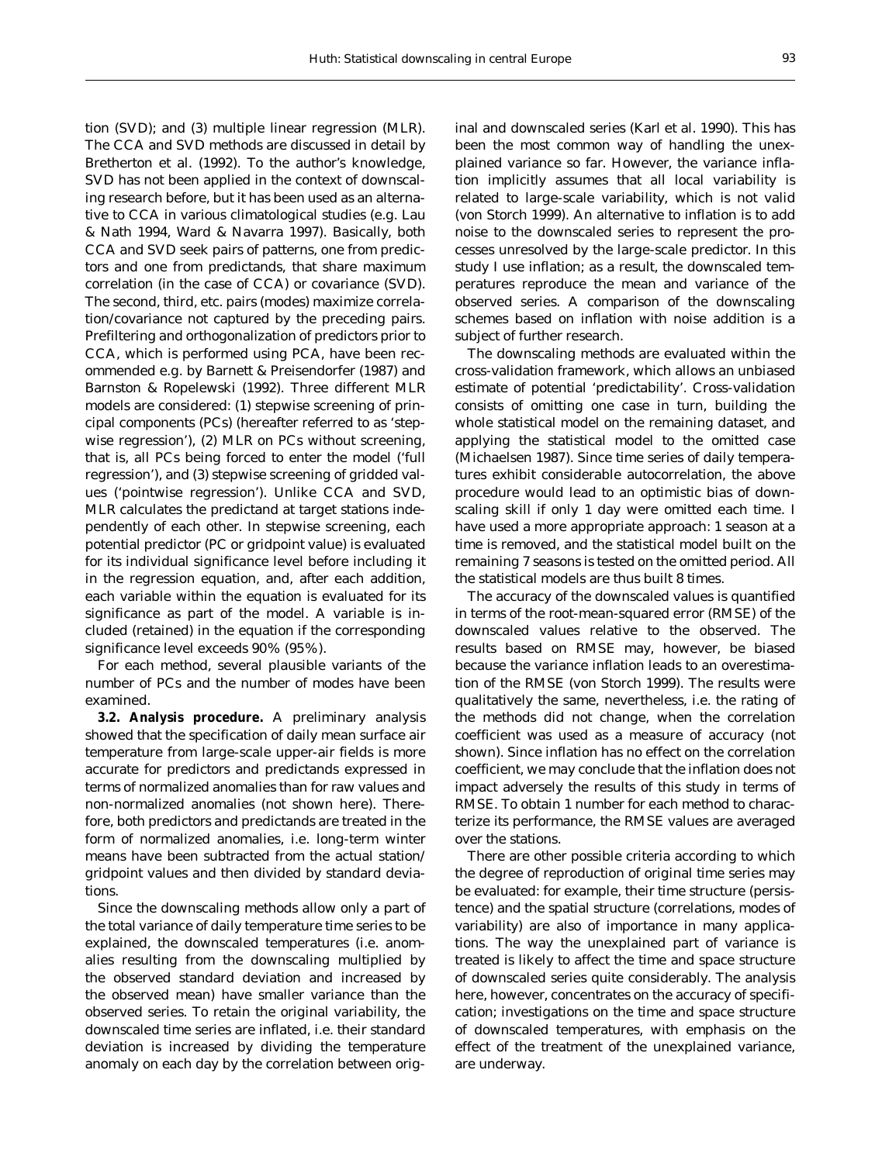tion (SVD); and (3) multiple linear regression (MLR). The CCA and SVD methods are discussed in detail by Bretherton et al. (1992). To the author's knowledge, SVD has not been applied in the context of downscaling research before, but it has been used as an alternative to CCA in various climatological studies (e.g. Lau & Nath 1994, Ward & Navarra 1997). Basically, both CCA and SVD seek pairs of patterns, one from predictors and one from predictands, that share maximum correlation (in the case of CCA) or covariance (SVD). The second, third, etc. pairs (modes) maximize correlation/covariance not captured by the preceding pairs. Prefiltering and orthogonalization of predictors prior to CCA, which is performed using PCA, have been recommended e.g. by Barnett & Preisendorfer (1987) and Barnston & Ropelewski (1992). Three different MLR models are considered: (1) stepwise screening of principal components (PCs) (hereafter referred to as 'stepwise regression'), (2) MLR on PCs without screening, that is, all PCs being forced to enter the model ('full regression'), and (3) stepwise screening of gridded values ('pointwise regression'). Unlike CCA and SVD, MLR calculates the predictand at target stations independently of each other. In stepwise screening, each potential predictor (PC or gridpoint value) is evaluated for its individual significance level before including it in the regression equation, and, after each addition, each variable within the equation is evaluated for its significance as part of the model. A variable is included (retained) in the equation if the corresponding significance level exceeds 90% (95%).

For each method, several plausible variants of the number of PCs and the number of modes have been examined.

**3.2. Analysis procedure.** A preliminary analysis showed that the specification of daily mean surface air temperature from large-scale upper-air fields is more accurate for predictors and predictands expressed in terms of normalized anomalies than for raw values and non-normalized anomalies (not shown here). Therefore, both predictors and predictands are treated in the form of normalized anomalies, i.e. long-term winter means have been subtracted from the actual station/ gridpoint values and then divided by standard deviations.

Since the downscaling methods allow only a part of the total variance of daily temperature time series to be explained, the downscaled temperatures (i.e. anomalies resulting from the downscaling multiplied by the observed standard deviation and increased by the observed mean) have smaller variance than the observed series. To retain the original variability, the downscaled time series are inflated, i.e. their standard deviation is increased by dividing the temperature anomaly on each day by the correlation between original and downscaled series (Karl et al. 1990). This has been the most common way of handling the unexplained variance so far. However, the variance inflation implicitly assumes that all local variability is related to large-scale variability, which is not valid (von Storch 1999). An alternative to inflation is to add noise to the downscaled series to represent the processes unresolved by the large-scale predictor. In this study I use inflation; as a result, the downscaled temperatures reproduce the mean and variance of the observed series. A comparison of the downscaling schemes based on inflation with noise addition is a subject of further research.

The downscaling methods are evaluated within the cross-validation framework, which allows an unbiased estimate of potential 'predictability'. Cross-validation consists of omitting one case in turn, building the whole statistical model on the remaining dataset, and applying the statistical model to the omitted case (Michaelsen 1987). Since time series of daily temperatures exhibit considerable autocorrelation, the above procedure would lead to an optimistic bias of downscaling skill if only 1 day were omitted each time. I have used a more appropriate approach: 1 season at a time is removed, and the statistical model built on the remaining 7 seasons is tested on the omitted period. All the statistical models are thus built 8 times.

The accuracy of the downscaled values is quantified in terms of the root-mean-squared error (RMSE) of the downscaled values relative to the observed. The results based on RMSE may, however, be biased because the variance inflation leads to an overestimation of the RMSE (von Storch 1999). The results were qualitatively the same, nevertheless, i.e. the rating of the methods did not change, when the correlation coefficient was used as a measure of accuracy (not shown). Since inflation has no effect on the correlation coefficient, we may conclude that the inflation does not impact adversely the results of this study in terms of RMSE. To obtain 1 number for each method to characterize its performance, the RMSE values are averaged over the stations.

There are other possible criteria according to which the degree of reproduction of original time series may be evaluated: for example, their time structure (persistence) and the spatial structure (correlations, modes of variability) are also of importance in many applications. The way the unexplained part of variance is treated is likely to affect the time and space structure of downscaled series quite considerably. The analysis here, however, concentrates on the accuracy of specification; investigations on the time and space structure of downscaled temperatures, with emphasis on the effect of the treatment of the unexplained variance, are underway.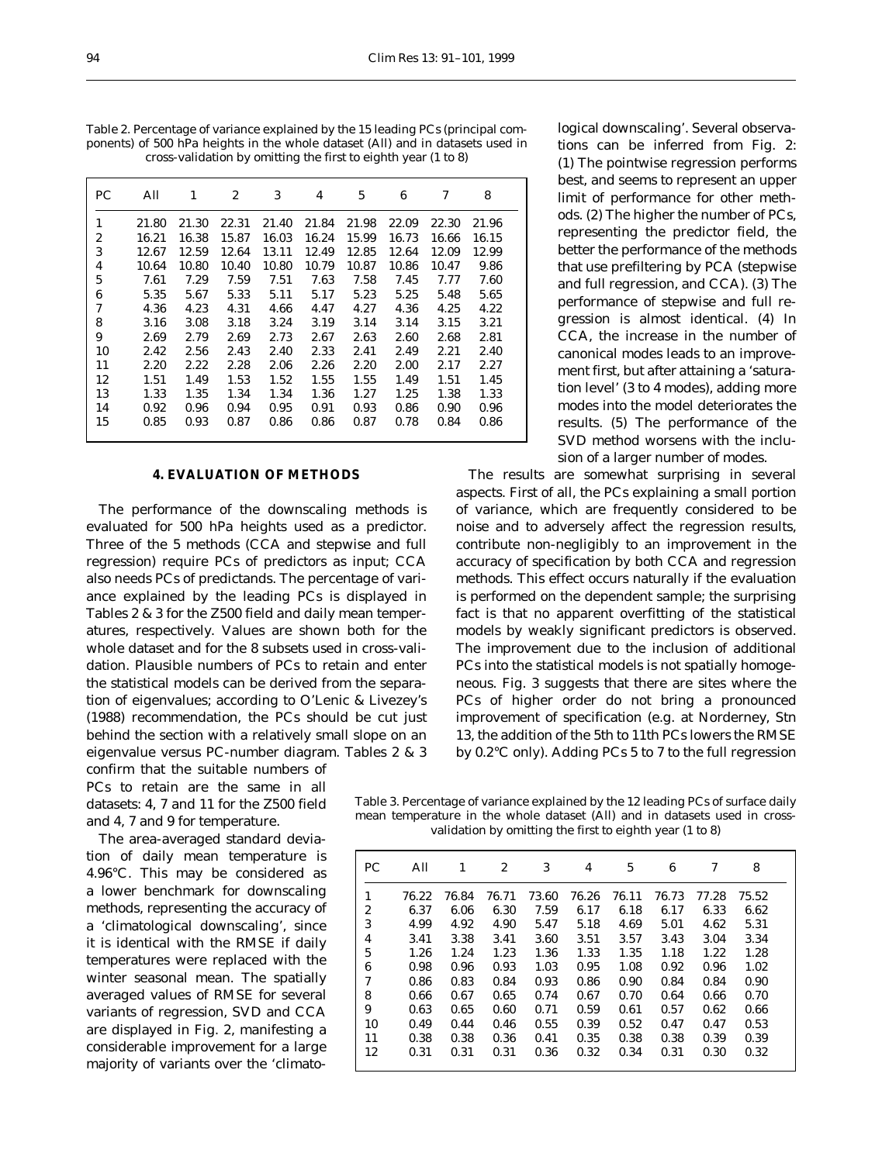| PC             | All   | 1     | 2     | 3     | 4     | 5     | 6     | 7     | 8     |
|----------------|-------|-------|-------|-------|-------|-------|-------|-------|-------|
| 1              | 21.80 | 21.30 | 22.31 | 21.40 | 21.84 | 21.98 | 22.09 | 22.30 | 21.96 |
| $\overline{2}$ | 16.21 | 16.38 | 15.87 | 16.03 | 16.24 | 15.99 | 16.73 | 16.66 | 16.15 |
| 3              | 12.67 | 12.59 | 12.64 | 13.11 | 12.49 | 12.85 | 12.64 | 12.09 | 12.99 |
| 4              | 10.64 | 10.80 | 10.40 | 10.80 | 10.79 | 10.87 | 10.86 | 10.47 | 9.86  |
| 5              | 7.61  | 7.29  | 7.59  | 7.51  | 7.63  | 7.58  | 7.45  | 7.77  | 7.60  |
| 6              | 5.35  | 5.67  | 5.33  | 5.11  | 5.17  | 5.23  | 5.25  | 5.48  | 5.65  |
| 7              | 4.36  | 4.23  | 4.31  | 4.66  | 4.47  | 4.27  | 4.36  | 4.25  | 4.22  |
| 8              | 3.16  | 3.08  | 3.18  | 3.24  | 3.19  | 3.14  | 3.14  | 3.15  | 3.21  |
| 9              | 2.69  | 2.79  | 2.69  | 2.73  | 2.67  | 2.63  | 2.60  | 2.68  | 2.81  |
| 10             | 2.42  | 2.56  | 2.43  | 2.40  | 2.33  | 2.41  | 2.49  | 2.21  | 2.40  |
| 11             | 2.20  | 2.22  | 2.28  | 2.06  | 2.26  | 2.20  | 2.00  | 2.17  | 2.27  |
| 12             | 1.51  | 1.49  | 1.53  | 1.52  | 1.55  | 1.55  | 1.49  | 1.51  | 1.45  |
| 13             | 1.33  | 1.35  | 1.34  | 1.34  | 1.36  | 1.27  | 1.25  | 1.38  | 1.33  |
| 14             | 0.92  | 0.96  | 0.94  | 0.95  | 0.91  | 0.93  | 0.86  | 0.90  | 0.96  |
| 15             | 0.85  | 0.93  | 0.87  | 0.86  | 0.86  | 0.87  | 0.78  | 0.84  | 0.86  |

Table 2. Percentage of variance explained by the 15 leading PCs (principal components) of 500 hPa heights in the whole dataset (All) and in datasets used in cross-validation by omitting the first to eighth year (1 to 8)

### **4. EVALUATION OF METHODS**

The performance of the downscaling methods is evaluated for 500 hPa heights used as a predictor. Three of the 5 methods (CCA and stepwise and full regression) require PCs of predictors as input; CCA also needs PCs of predictands. The percentage of variance explained by the leading PCs is displayed in Tables 2 & 3 for the Z500 field and daily mean temperatures, respectively. Values are shown both for the whole dataset and for the 8 subsets used in cross-validation. Plausible numbers of PCs to retain and enter the statistical models can be derived from the separation of eigenvalues; according to O'Lenic & Livezey's (1988) recommendation, the PCs should be cut just behind the section with a relatively small slope on an eigenvalue versus PC-number diagram. Tables 2 & 3 confirm that the suitable numbers of

PCs to retain are the same in all datasets: 4, 7 and 11 for the Z500 field and 4, 7 and 9 for temperature.

The area-averaged standard deviation of daily mean temperature is 4.96°C. This may be considered as a lower benchmark for downscaling methods, representing the accuracy of a 'climatological downscaling', since it is identical with the RMSE if daily temperatures were replaced with the winter seasonal mean. The spatially averaged values of RMSE for several variants of regression, SVD and CCA are displayed in Fig. 2, manifesting a considerable improvement for a large majority of variants over the 'climato-

logical downscaling'. Several observations can be inferred from Fig. 2: (1) The pointwise regression performs best, and seems to represent an upper limit of performance for other methods. (2) The higher the number of PCs, representing the predictor field, the better the performance of the methods that use prefiltering by PCA (stepwise and full regression, and CCA). (3) The performance of stepwise and full regression is almost identical. (4) In CCA, the increase in the number of canonical modes leads to an improvement first, but after attaining a 'saturation level' (3 to 4 modes), adding more modes into the model deteriorates the results. (5) The performance of the SVD method worsens with the inclusion of a larger number of modes.

The results are somewhat surprising in several aspects. First of all, the PCs explaining a small portion of variance, which are frequently considered to be noise and to adversely affect the regression results, contribute non-negligibly to an improvement in the accuracy of specification by both CCA and regression methods. This effect occurs naturally if the evaluation is performed on the dependent sample; the surprising fact is that no apparent overfitting of the statistical models by weakly significant predictors is observed. The improvement due to the inclusion of additional PCs into the statistical models is not spatially homogeneous. Fig. 3 suggests that there are sites where the PCs of higher order do not bring a pronounced improvement of specification (e.g. at Norderney, Stn 13, the addition of the 5th to 11th PCs lowers the RMSE by 0.2°C only). Adding PCs 5 to 7 to the full regression

Table 3. Percentage of variance explained by the 12 leading PCs of surface daily mean temperature in the whole dataset (All) and in datasets used in crossvalidation by omitting the first to eighth year (1 to 8)

| PC             | All   | 1     | $\overline{c}$ | 3     | 4     | 5     | 6     | 7     | 8     |
|----------------|-------|-------|----------------|-------|-------|-------|-------|-------|-------|
| 1              | 76.22 | 76.84 | 76.71          | 73.60 | 76.26 | 76.11 | 76.73 | 77.28 | 75.52 |
| $\overline{c}$ | 6.37  | 6.06  | 6.30           | 7.59  | 6.17  | 6.18  | 6.17  | 6.33  | 6.62  |
| 3              | 4.99  | 4.92  | 4.90           | 5.47  | 5.18  | 4.69  | 5.01  | 4.62  | 5.31  |
| 4              | 3.41  | 3.38  | 3.41           | 3.60  | 3.51  | 3.57  | 3.43  | 3.04  | 3.34  |
| 5              | 1.26  | 1.24  | 1.23           | 1.36  | 1.33  | 1.35  | 1.18  | 1.22  | 1.28  |
| 6              | 0.98  | 0.96  | 0.93           | 1.03  | 0.95  | 1.08  | 0.92  | 0.96  | 1.02  |
| 7              | 0.86  | 0.83  | 0.84           | 0.93  | 0.86  | 0.90  | 0.84  | 0.84  | 0.90  |
| 8              | 0.66  | 0.67  | 0.65           | 0.74  | 0.67  | 0.70  | 0.64  | 0.66  | 0.70  |
| 9              | 0.63  | 0.65  | 0.60           | 0.71  | 0.59  | 0.61  | 0.57  | 0.62  | 0.66  |
| 10             | 0.49  | 0.44  | 0.46           | 0.55  | 0.39  | 0.52  | 0.47  | 0.47  | 0.53  |
| 11             | 0.38  | 0.38  | 0.36           | 0.41  | 0.35  | 0.38  | 0.38  | 0.39  | 0.39  |
| 12             | 0.31  | 0.31  | 0.31           | 0.36  | 0.32  | 0.34  | 0.31  | 0.30  | 0.32  |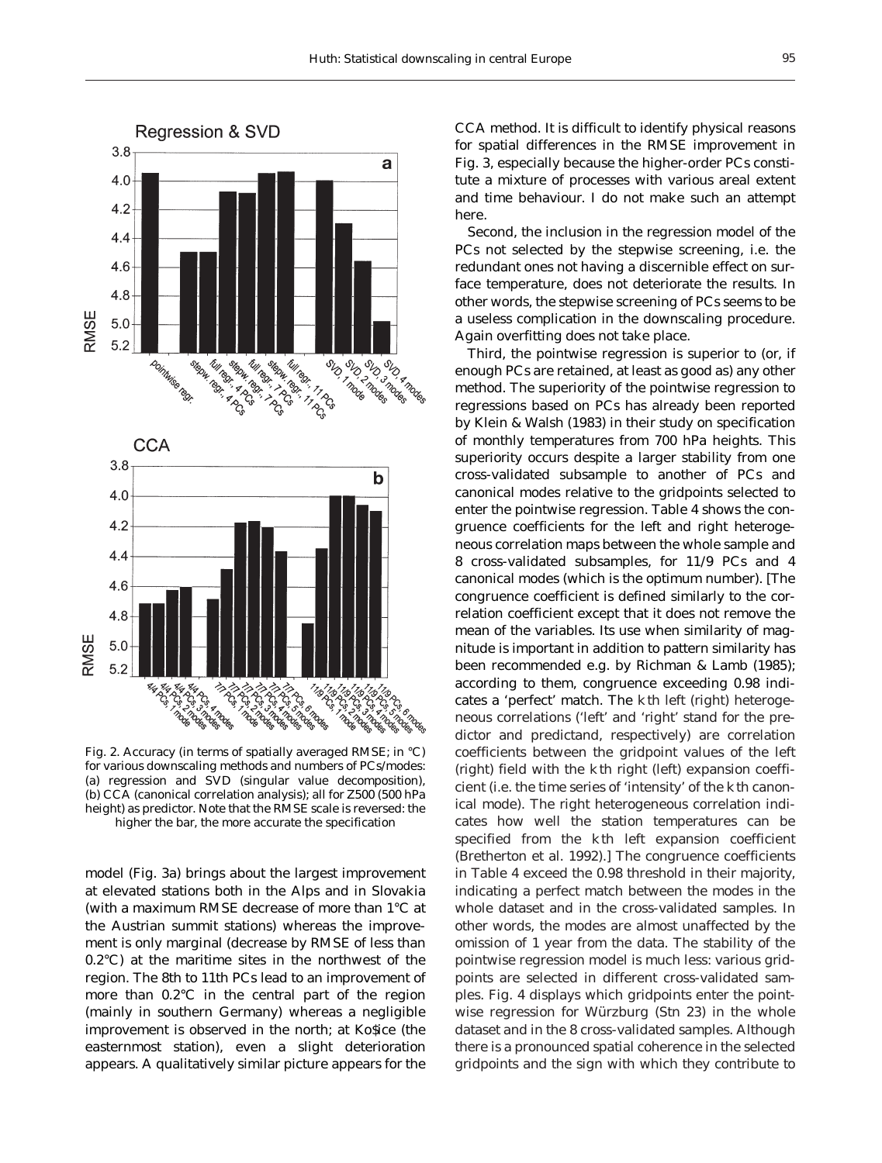

Fig. 2. Accuracy (in terms of spatially averaged RMSE; in °C) for various downscaling methods and numbers of PCs/modes: (a) regression and SVD (singular value decomposition), (b) CCA (canonical correlation analysis); all for Z500 (500 hPa height) as predictor. Note that the RMSE scale is reversed: the higher the bar, the more accurate the specification

model (Fig. 3a) brings about the largest improvement at elevated stations both in the Alps and in Slovakia (with a maximum RMSE decrease of more than 1°C at the Austrian summit stations) whereas the improvement is only marginal (decrease by RMSE of less than 0.2°C) at the maritime sites in the northwest of the region. The 8th to 11th PCs lead to an improvement of more than 0.2°C in the central part of the region (mainly in southern Germany) whereas a negligible improvement is observed in the north; at Ko\$ice (the easternmost station), even a slight deterioration appears. A qualitatively similar picture appears for the

CCA method. It is difficult to identify physical reasons for spatial differences in the RMSE improvement in Fig. 3, especially because the higher-order PCs constitute a mixture of processes with various areal extent and time behaviour. I do not make such an attempt here.

Second, the inclusion in the regression model of the PCs not selected by the stepwise screening, i.e. the redundant ones not having a discernible effect on surface temperature, does not deteriorate the results. In other words, the stepwise screening of PCs seems to be a useless complication in the downscaling procedure. Again overfitting does not take place.

Third, the pointwise regression is superior to (or, if enough PCs are retained, at least as good as) any other method. The superiority of the pointwise regression to regressions based on PCs has already been reported by Klein & Walsh (1983) in their study on specification of monthly temperatures from 700 hPa heights. This superiority occurs despite a larger stability from one cross-validated subsample to another of PCs and canonical modes relative to the gridpoints selected to enter the pointwise regression. Table 4 shows the congruence coefficients for the left and right heterogeneous correlation maps between the whole sample and 8 cross-validated subsamples, for 11/9 PCs and 4 canonical modes (which is the optimum number). [The congruence coefficient is defined similarly to the correlation coefficient except that it does not remove the mean of the variables. Its use when similarity of magnitude is important in addition to pattern similarity has been recommended e.g. by Richman & Lamb (1985); according to them, congruence exceeding 0.98 indicates a 'perfect' match. The *k*th left (right) heterogeneous correlations ('left' and 'right' stand for the predictor and predictand, respectively) are correlation coefficients between the gridpoint values of the left (right) field with the *k*th right (left) expansion coefficient (i.e. the time series of 'intensity' of the *k*th canonical mode). The right heterogeneous correlation indicates how well the station temperatures can be specified from the *k*th left expansion coefficient (Bretherton et al. 1992).] The congruence coefficients in Table 4 exceed the 0.98 threshold in their majority, indicating a perfect match between the modes in the whole dataset and in the cross-validated samples. In other words, the modes are almost unaffected by the omission of 1 year from the data. The stability of the pointwise regression model is much less: various gridpoints are selected in different cross-validated samples. Fig. 4 displays which gridpoints enter the pointwise regression for Würzburg (Stn 23) in the whole dataset and in the 8 cross-validated samples. Although there is a pronounced spatial coherence in the selected gridpoints and the sign with which they contribute to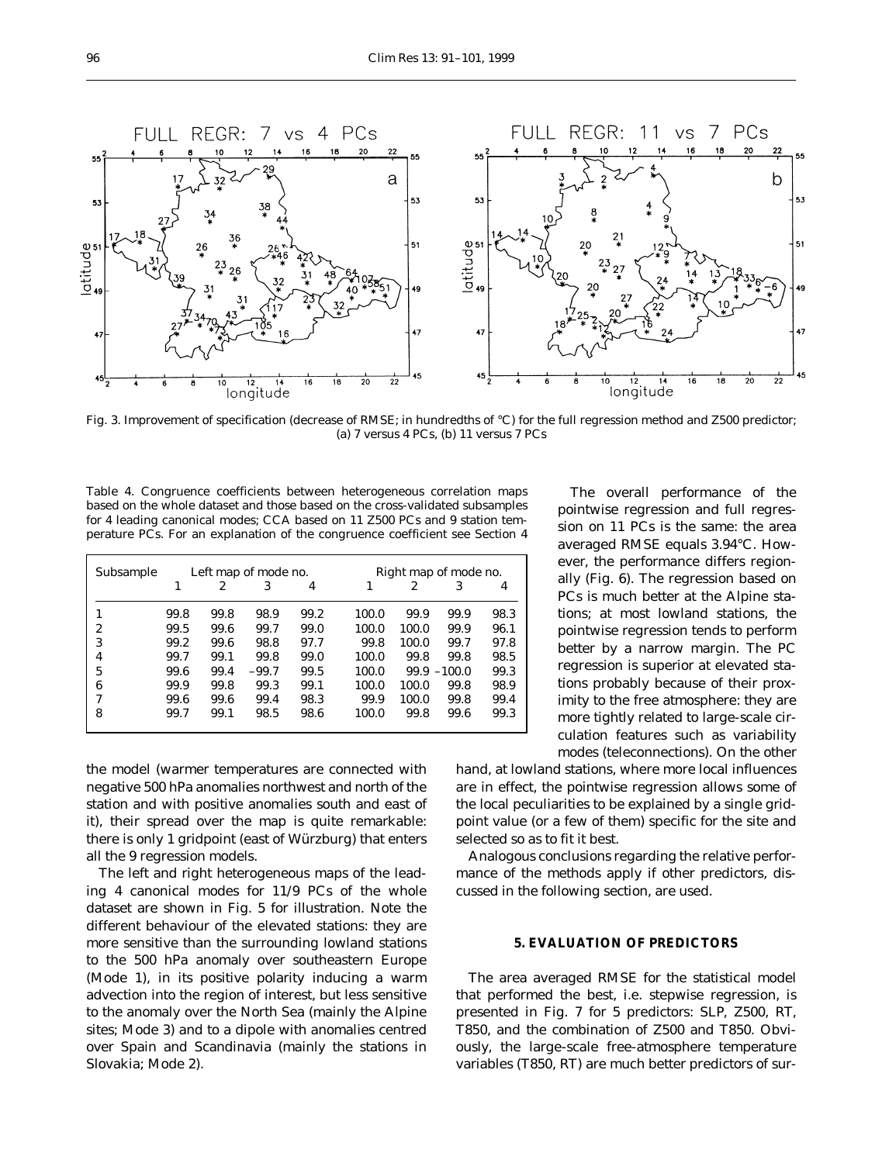

Fig. 3. Improvement of specification (decrease of RMSE; in hundredths of °C) for the full regression method and Z500 predictor; (a) 7 versus 4 PCs, (b) 11 versus 7 PCs

Table 4. Congruence coefficients between heterogeneous correlation maps based on the whole dataset and those based on the cross-validated subsamples for 4 leading canonical modes; CCA based on 11 Z500 PCs and 9 station temperature PCs. For an explanation of the congruence coefficient see Section 4

| Subsample        |      |      | Left map of mode no. |      | Right map of mode no. |       |                |      |  |  |
|------------------|------|------|----------------------|------|-----------------------|-------|----------------|------|--|--|
|                  |      | 2    | 3                    | 4    |                       | 2     | 3              | 4    |  |  |
|                  | 99.8 | 99.8 | 98.9                 | 99.2 | 100.0                 | 99.9  | 99.9           | 98.3 |  |  |
| $\boldsymbol{2}$ | 99.5 | 99.6 | 99.7                 | 99.0 | 100.0                 | 100.0 | 99.9           | 96.1 |  |  |
| 3                | 99.2 | 99.6 | 98.8                 | 97.7 | 99.8                  | 100.0 | 99.7           | 97.8 |  |  |
| 4                | 99.7 | 99.1 | 99.8                 | 99.0 | 100.0                 | 99.8  | 99.8           | 98.5 |  |  |
| 5                | 99.6 | 99.4 | $-99.7$              | 99.5 | 100.0                 |       | $99.9 - 100.0$ | 99.3 |  |  |
| 6                | 99.9 | 99.8 | 99.3                 | 99.1 | 100.0                 | 100.0 | 99.8           | 98.9 |  |  |
| 7                | 99.6 | 99.6 | 99.4                 | 98.3 | 99.9                  | 100.0 | 99.8           | 99.4 |  |  |
| 8                | 99.7 | 99.1 | 98.5                 | 98.6 | 100.0                 | 99.8  | 99.6           | 99.3 |  |  |

the model (warmer temperatures are connected with negative 500 hPa anomalies northwest and north of the station and with positive anomalies south and east of it), their spread over the map is quite remarkable: there is only 1 gridpoint (east of Würzburg) that enters all the 9 regression models.

The left and right heterogeneous maps of the leading 4 canonical modes for 11/9 PCs of the whole dataset are shown in Fig. 5 for illustration. Note the different behaviour of the elevated stations: they are more sensitive than the surrounding lowland stations to the 500 hPa anomaly over southeastern Europe (Mode 1), in its positive polarity inducing a warm advection into the region of interest, but less sensitive to the anomaly over the North Sea (mainly the Alpine sites; Mode 3) and to a dipole with anomalies centred over Spain and Scandinavia (mainly the stations in Slovakia; Mode 2).

The overall performance of the pointwise regression and full regression on 11 PCs is the same: the area averaged RMSE equals 3.94°C. However, the performance differs regionally (Fig. 6). The regression based on PCs is much better at the Alpine stations; at most lowland stations, the pointwise regression tends to perform better by a narrow margin. The PC regression is superior at elevated stations probably because of their proximity to the free atmosphere: they are more tightly related to large-scale circulation features such as variability modes (teleconnections). On the other

hand, at lowland stations, where more local influences are in effect, the pointwise regression allows some of the local peculiarities to be explained by a single gridpoint value (or a few of them) specific for the site and selected so as to fit it best.

Analogous conclusions regarding the relative performance of the methods apply if other predictors, discussed in the following section, are used.

## **5. EVALUATION OF PREDICTORS**

The area averaged RMSE for the statistical model that performed the best, i.e. stepwise regression, is presented in Fig. 7 for 5 predictors: SLP, Z500, RT, T850, and the combination of Z500 and T850. Obviously, the large-scale free-atmosphere temperature variables (T850, RT) are much better predictors of sur-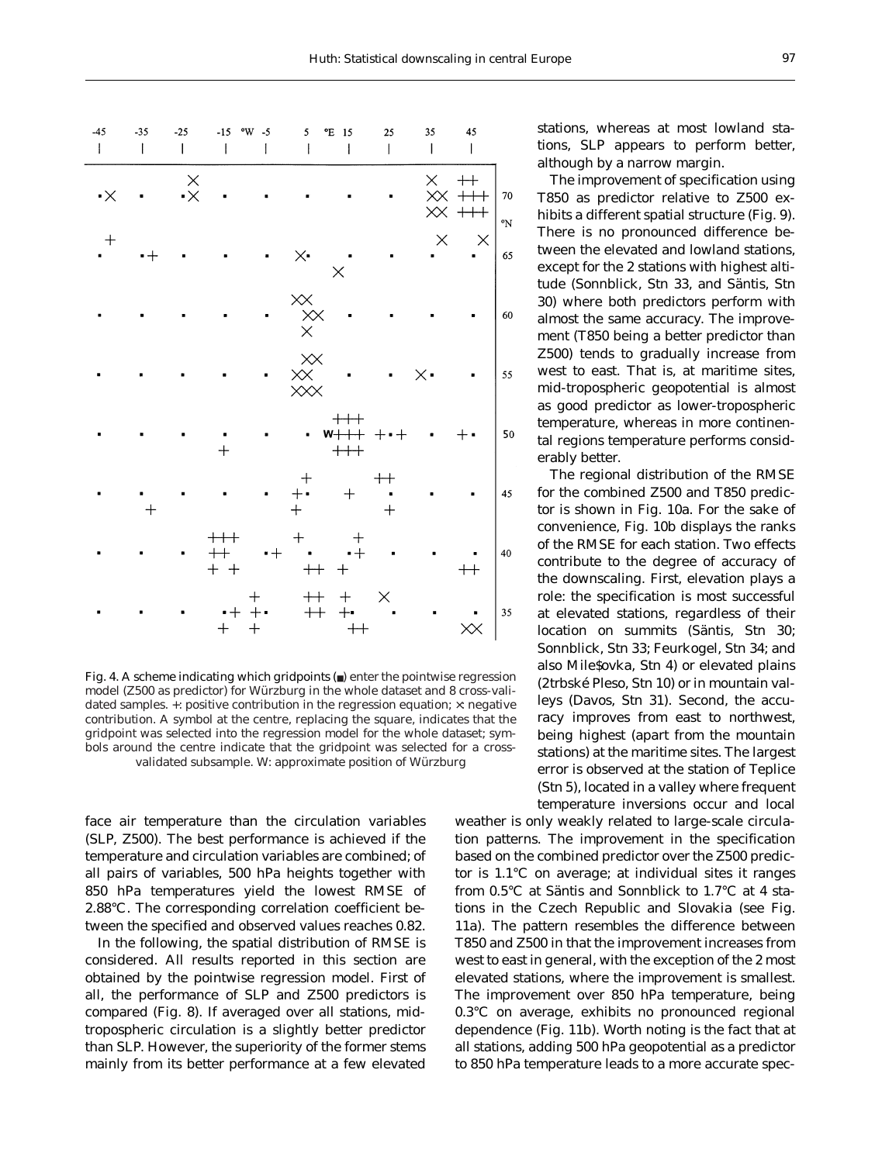| $-45$<br>$\overline{\phantom{a}}$ | $-35$<br>$\mathbf{I}$ | $-25$<br>$\mathbf{I}$ | $-15$ °W $-5$ 5 °E 15<br>$\blacksquare$ | $\mathbf{I}$     | $\mathbf{I}$                                              | $\perp$                                     | 25<br>$\mathbf{I}$                   | 35<br>$\overline{1}$ | 45<br>$\mathbf{I}$                   |                    |
|-----------------------------------|-----------------------|-----------------------|-----------------------------------------|------------------|-----------------------------------------------------------|---------------------------------------------|--------------------------------------|----------------------|--------------------------------------|--------------------|
| $\cdot \times$                    |                       | $\mathbb{X}^{\times}$ |                                         |                  |                                                           |                                             |                                      | $\times$             | $++$<br>$\times$ +++<br>$\times$ +++ | 70<br>$\mathbf{N}$ |
| $+$                               | $\cdot$ +             |                       |                                         |                  | $\times$                                                  | $\times$                                    |                                      | $\times$             | $\times$<br>$\blacksquare$           | 65                 |
|                                   |                       |                       |                                         |                  | $\times\times$<br>$\overline{\mathsf{x}}$                 |                                             |                                      |                      |                                      | 60                 |
|                                   |                       |                       |                                         |                  | $\times\!\!\times$<br>$\times$<br>$\overline{\mathsf{X}}$ |                                             |                                      | $\times\cdot$        |                                      | 55                 |
|                                   |                       |                       | ┽                                       |                  | $\blacksquare$                                            | $++$<br>$W++$<br>$\boldsymbol{++}$          | $+ - +$                              |                      |                                      | 50                 |
|                                   | ┿                     |                       |                                         |                  |                                                           | $+$                                         | $\,+\,$<br>$\hspace{0.1mm} +$<br>$+$ |                      |                                      | 45                 |
|                                   |                       |                       | $^{\rm ++}$<br>$+$ +                    | $\cdot +$        | $\mathrm{+}$<br>$\blacksquare$<br>$^{\rm ++}$             | $\cdot +$<br>$+$                            | $\blacksquare$                       |                      | $^{\rm ++}$                          | 40                 |
|                                   |                       |                       | $\cdot$ +<br>$+$                        | $\boldsymbol{+}$ | $\boldsymbol{++}$<br>$+$                                  | $\hspace{0.1mm} +$<br>$\, +$<br>$^{\rm ++}$ | $\times$                             |                      |                                      | 35                 |

Fig. 4. A scheme indicating which gridpoints (■) enter the pointwise regression model (Z500 as predictor) for Würzburg in the whole dataset and 8 cross-validated samples. +: positive contribution in the regression equation; ×: negative contribution. A symbol at the centre, replacing the square, indicates that the gridpoint was selected into the regression model for the whole dataset; symbols around the centre indicate that the gridpoint was selected for a crossvalidated subsample. W: approximate position of Würzburg

face air temperature than the circulation variables (SLP, Z500). The best performance is achieved if the temperature and circulation variables are combined; of all pairs of variables, 500 hPa heights together with 850 hPa temperatures yield the lowest RMSE of 2.88°C. The corresponding correlation coefficient between the specified and observed values reaches 0.82.

In the following, the spatial distribution of RMSE is considered. All results reported in this section are obtained by the pointwise regression model. First of all, the performance of SLP and Z500 predictors is compared (Fig. 8). If averaged over all stations, midtropospheric circulation is a slightly better predictor than SLP. However, the superiority of the former stems mainly from its better performance at a few elevated

stations, whereas at most lowland stations, SLP appears to perform better, although by a narrow margin.

The improvement of specification using T850 as predictor relative to Z500 exhibits a different spatial structure (Fig. 9). There is no pronounced difference between the elevated and lowland stations, except for the 2 stations with highest altitude (Sonnblick, Stn 33, and Säntis, Stn 30) where both predictors perform with almost the same accuracy. The improvement (T850 being a better predictor than Z500) tends to gradually increase from west to east. That is, at maritime sites, mid-tropospheric geopotential is almost as good predictor as lower-tropospheric temperature, whereas in more continental regions temperature performs considerably better.

The regional distribution of the RMSE for the combined Z500 and T850 predictor is shown in Fig. 10a. For the sake of convenience, Fig. 10b displays the ranks of the RMSE for each station. Two effects contribute to the degree of accuracy of the downscaling. First, elevation plays a role: the specification is most successful at elevated stations, regardless of their location on summits (Säntis, Stn 30; Sonnblick, Stn 33; Feurkogel, Stn 34; and also Mile\$ovka, Stn 4) or elevated plains (2trbské Pleso, Stn 10) or in mountain valleys (Davos, Stn 31). Second, the accuracy improves from east to northwest, being highest (apart from the mountain stations) at the maritime sites. The largest error is observed at the station of Teplice (Stn 5), located in a valley where frequent temperature inversions occur and local

weather is only weakly related to large-scale circulation patterns. The improvement in the specification based on the combined predictor over the Z500 predictor is 1.1°C on average; at individual sites it ranges from 0.5°C at Säntis and Sonnblick to 1.7°C at 4 stations in the Czech Republic and Slovakia (see Fig. 11a). The pattern resembles the difference between T850 and Z500 in that the improvement increases from west to east in general, with the exception of the 2 most elevated stations, where the improvement is smallest. The improvement over 850 hPa temperature, being 0.3°C on average, exhibits no pronounced regional dependence (Fig. 11b). Worth noting is the fact that at all stations, adding 500 hPa geopotential as a predictor to 850 hPa temperature leads to a more accurate spec-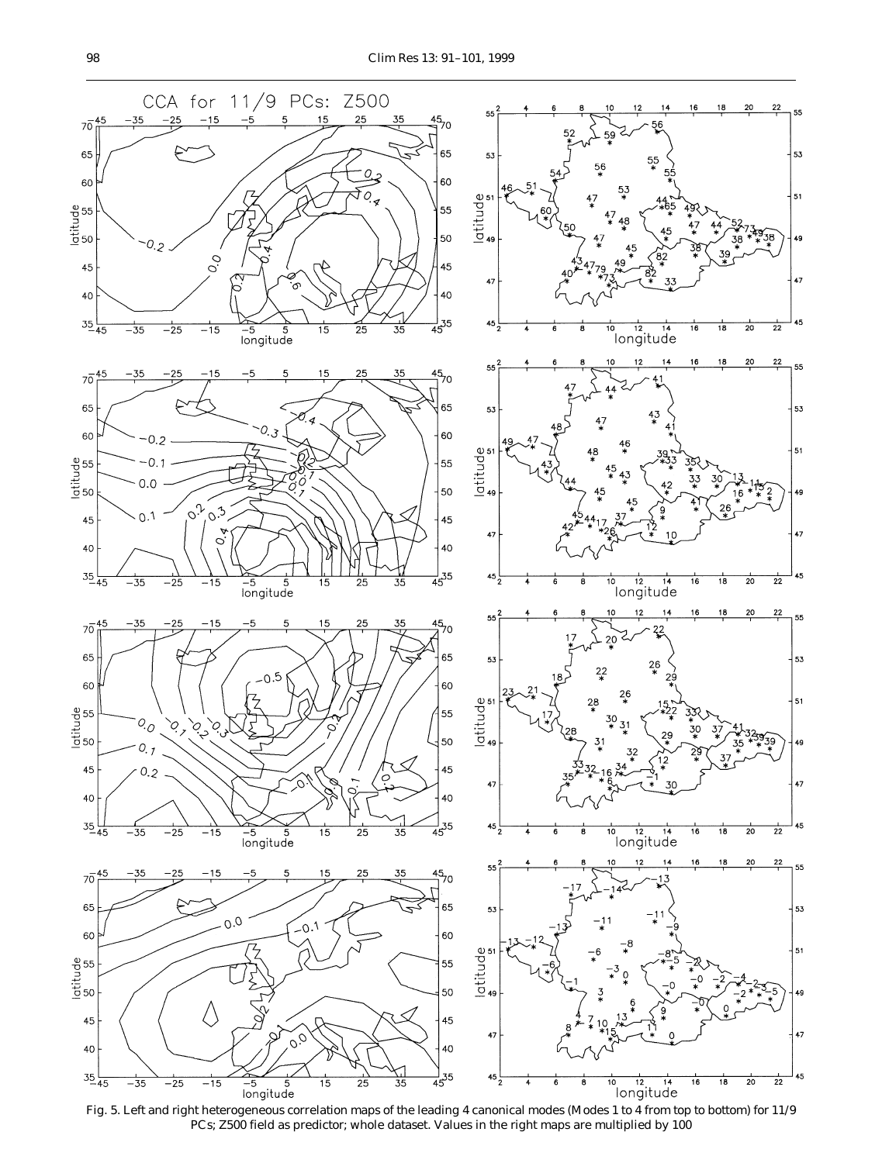

Fig. 5. Left and right heterogeneous correlation maps of the leading 4 canonical modes (Modes 1 to 4 from top to bottom) for 11/9 PCs; Z500 field as predictor; whole dataset. Values in the right maps are multiplied by 100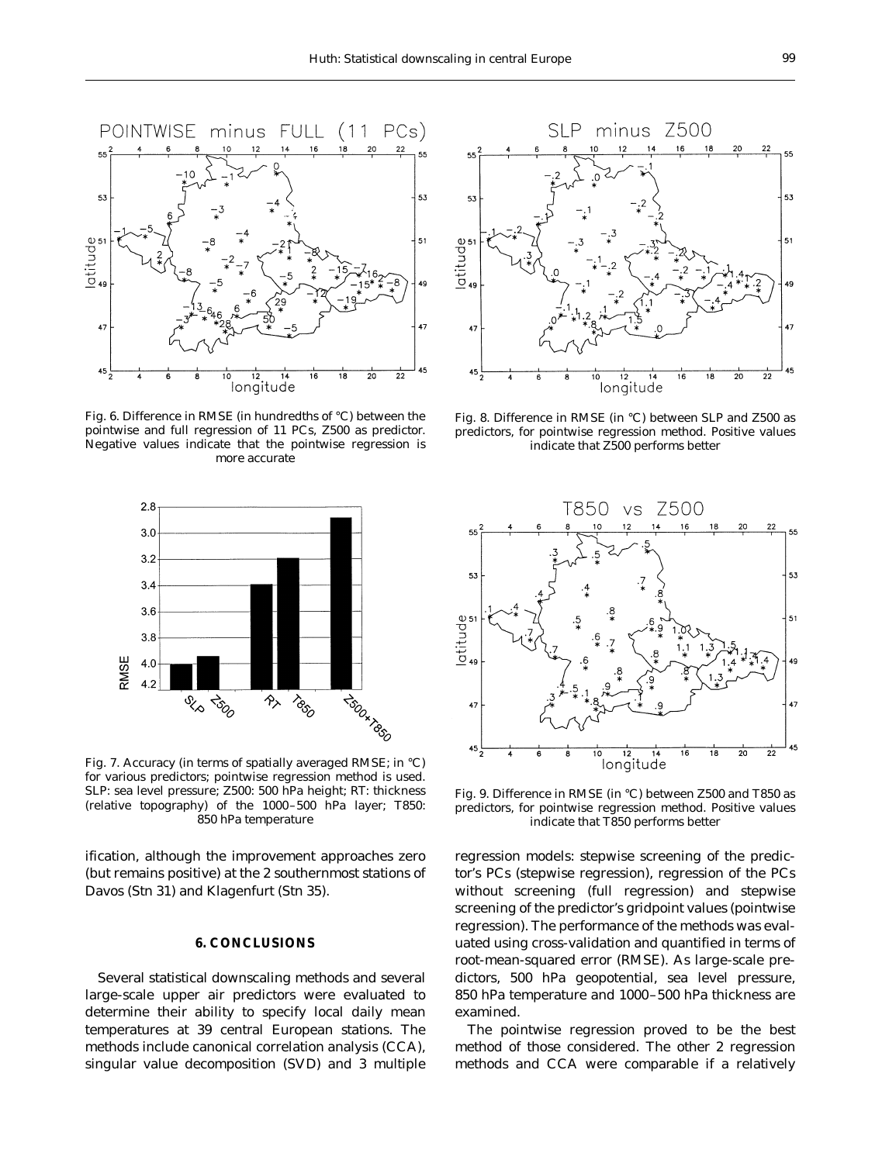

Fig. 6. Difference in RMSE (in hundredths of °C) between the pointwise and full regression of 11 PCs, Z500 as predictor. Negative values indicate that the pointwise regression is more accurate



Fig. 7. Accuracy (in terms of spatially averaged RMSE; in °C) for various predictors; pointwise regression method is used. SLP: sea level pressure; Z500: 500 hPa height; RT: thickness (relative topography) of the 1000–500 hPa layer; T850: 850 hPa temperature

ification, although the improvement approaches zero (but remains positive) at the 2 southernmost stations of Davos (Stn 31) and Klagenfurt (Stn 35).

# **6. CONCLUSIONS**

Several statistical downscaling methods and several large-scale upper air predictors were evaluated to determine their ability to specify local daily mean temperatures at 39 central European stations. The methods include canonical correlation analysis (CCA), singular value decomposition (SVD) and 3 multiple



Fig. 8. Difference in RMSE (in °C) between SLP and Z500 as predictors, for pointwise regression method. Positive values indicate that Z500 performs better



Fig. 9. Difference in RMSE (in °C) between Z500 and T850 as predictors, for pointwise regression method. Positive values indicate that T850 performs better

regression models: stepwise screening of the predictor's PCs (stepwise regression), regression of the PCs without screening (full regression) and stepwise screening of the predictor's gridpoint values (pointwise regression). The performance of the methods was evaluated using cross-validation and quantified in terms of root-mean-squared error (RMSE). As large-scale predictors, 500 hPa geopotential, sea level pressure, 850 hPa temperature and 1000–500 hPa thickness are examined.

The pointwise regression proved to be the best method of those considered. The other 2 regression methods and CCA were comparable if a relatively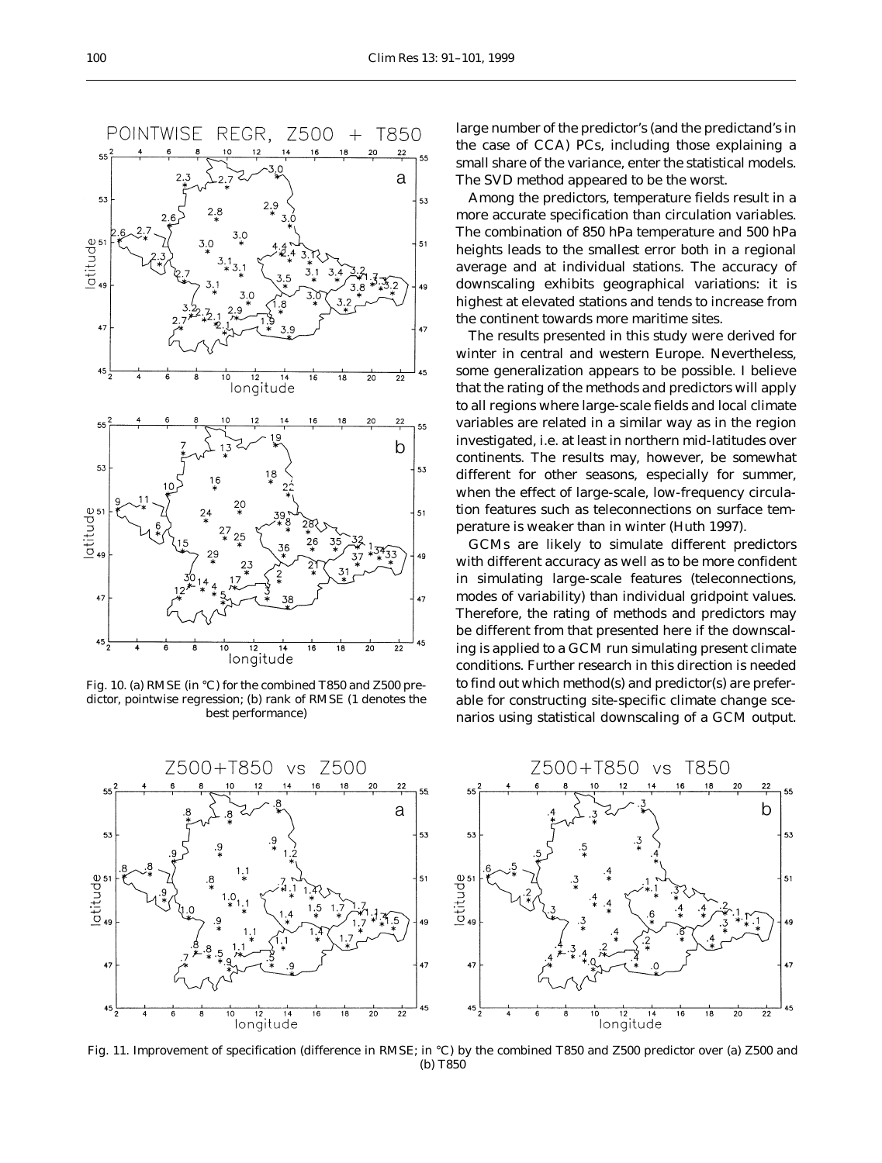

Fig. 10. (a) RMSE (in °C) for the combined T850 and Z500 predictor, pointwise regression; (b) rank of RMSE (1 denotes the best performance)

large number of the predictor's (and the predictand's in the case of CCA) PCs, including those explaining a small share of the variance, enter the statistical models. The SVD method appeared to be the worst.

Among the predictors, temperature fields result in a more accurate specification than circulation variables. The combination of 850 hPa temperature and 500 hPa heights leads to the smallest error both in a regional average and at individual stations. The accuracy of downscaling exhibits geographical variations: it is highest at elevated stations and tends to increase from the continent towards more maritime sites.

The results presented in this study were derived for winter in central and western Europe. Nevertheless, some generalization appears to be possible. I believe that the rating of the methods and predictors will apply to all regions where large-scale fields and local climate variables are related in a similar way as in the region investigated, i.e. at least in northern mid-latitudes over continents. The results may, however, be somewhat different for other seasons, especially for summer, when the effect of large-scale, low-frequency circulation features such as teleconnections on surface temperature is weaker than in winter (Huth 1997).

GCMs are likely to simulate different predictors with different accuracy as well as to be more confident in simulating large-scale features (teleconnections, modes of variability) than individual gridpoint values. Therefore, the rating of methods and predictors may be different from that presented here if the downscaling is applied to a GCM run simulating present climate conditions. Further research in this direction is needed to find out which method(s) and predictor(s) are preferable for constructing site-specific climate change scenarios using statistical downscaling of a GCM output.



Fig. 11. Improvement of specification (difference in RMSE; in °C) by the combined T850 and Z500 predictor over (a) Z500 and (b) T850